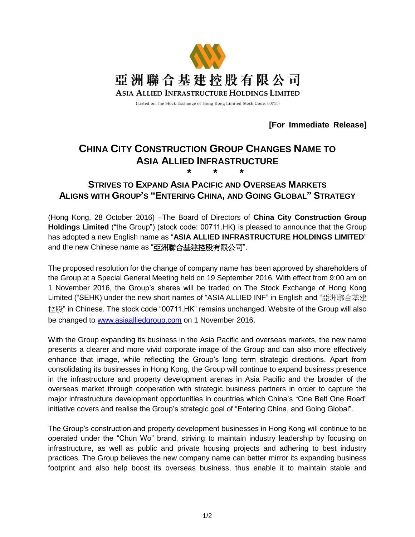

**[For Immediate Release]**

## **CHINA CITY CONSTRUCTION GROUP CHANGES NAME TO ASIA ALLIED INFRASTRUCTURE \* \* \***

**STRIVES TO EXPAND ASIA PACIFIC AND OVERSEAS MARKETS ALIGNS WITH GROUP'S "ENTERING CHINA, AND GOING GLOBAL" STRATEGY**

(Hong Kong, 28 October 2016) –The Board of Directors of **China City Construction Group Holdings Limited** ("the Group") (stock code: 00711.HK) is pleased to announce that the Group has adopted a new English name as "**ASIA ALLIED INFRASTRUCTURE HOLDINGS LIMITED**" and the new Chinese name as "亞洲聯合基建控股有限公司".

The proposed resolution for the change of company name has been approved by shareholders of the Group at a Special General Meeting held on 19 September 2016. With effect from 9:00 am on 1 November 2016, the Group's shares will be traded on The Stock Exchange of Hong Kong Limited ("SEHK) under the new short names of "ASIA ALLIED INF" in English and "亞洲聯合基建 控股" in Chinese. The stock code "00711.HK" remains unchanged. Website of the Group will also be changed to [www.asiaalliedgroup.com](http://www.asiaalliedgroup.com/) on 1 November 2016.

With the Group expanding its business in the Asia Pacific and overseas markets, the new name presents a clearer and more vivid corporate image of the Group and can also more effectively enhance that image, while reflecting the Group's long term strategic directions. Apart from consolidating its businesses in Hong Kong, the Group will continue to expand business presence in the infrastructure and property development arenas in Asia Pacific and the broader of the overseas market through cooperation with strategic business partners in order to capture the major infrastructure development opportunities in countries which China's "One Belt One Road" initiative covers and realise the Group's strategic goal of "Entering China, and Going Global".

The Group's construction and property development businesses in Hong Kong will continue to be operated under the "Chun Wo" brand, striving to maintain industry leadership by focusing on infrastructure, as well as public and private housing projects and adhering to best industry practices. The Group believes the new company name can better mirror its expanding business footprint and also help boost its overseas business, thus enable it to maintain stable and